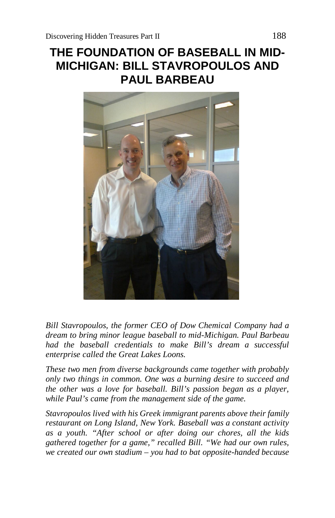# **THE FOUNDATION OF BASEBALL IN MID-MICHIGAN: BILL STAVROPOULOS AND PAUL BARBEAU**



*Bill Stavropoulos, the former CEO of Dow Chemical Company had a dream to bring minor league baseball to mid-Michigan. Paul Barbeau had the baseball credentials to make Bill's dream a successful enterprise called the Great Lakes Loons.*

*These two men from diverse backgrounds came together with probably only two things in common. One was a burning desire to succeed and the other was a love for baseball. Bill's passion began as a player, while Paul's came from the management side of the game.*

*Stavropoulos lived with his Greek immigrant parents above their family restaurant on Long Island, New York. Baseball was a constant activity as a youth. "After school or after doing our chores, all the kids gathered together for a game," recalled Bill. "We had our own rules, we created our own stadium – you had to bat opposite-handed because*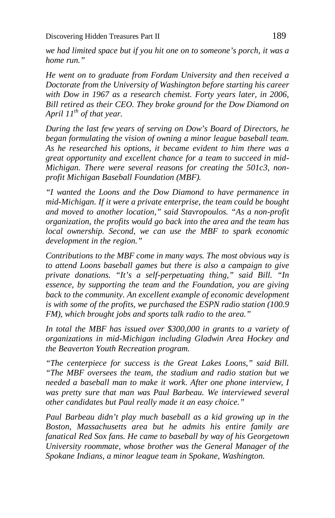*we had limited space but if you hit one on to someone's porch, it was a home run."*

*He went on to graduate from Fordam University and then received a Doctorate from the University of Washington before starting his career with Dow in 1967 as a research chemist. Forty years later, in 2006, Bill retired as their CEO. They broke ground for the Dow Diamond on April 11th of that year.*

*During the last few years of serving on Dow's Board of Directors, he began formulating the vision of owning a minor league baseball team. As he researched his options, it became evident to him there was a great opportunity and excellent chance for a team to succeed in mid-Michigan. There were several reasons for creating the 501c3, nonprofit Michigan Baseball Foundation (MBF).*

*"I wanted the Loons and the Dow Diamond to have permanence in mid-Michigan. If it were a private enterprise, the team could be bought and moved to another location," said Stavropoulos. "As a non-profit organization, the profits would go back into the area and the team has local ownership. Second, we can use the MBF to spark economic development in the region."*

*Contributions to the MBF come in many ways. The most obvious way is to attend Loons baseball games but there is also a campaign to give private donations. "It's a self-perpetuating thing," said Bill. "In essence, by supporting the team and the Foundation, you are giving back to the community. An excellent example of economic development is with some of the profits, we purchased the ESPN radio station (100.9 FM), which brought jobs and sports talk radio to the area."*

*In total the MBF has issued over \$300,000 in grants to a variety of organizations in mid-Michigan including Gladwin Area Hockey and the Beaverton Youth Recreation program.*

*"The centerpiece for success is the Great Lakes Loons," said Bill. "The MBF oversees the team, the stadium and radio station but we needed a baseball man to make it work. After one phone interview, I was pretty sure that man was Paul Barbeau. We interviewed several other candidates but Paul really made it an easy choice."*

*Paul Barbeau didn't play much baseball as a kid growing up in the Boston, Massachusetts area but he admits his entire family are fanatical Red Sox fans. He came to baseball by way of his Georgetown University roommate, whose brother was the General Manager of the Spokane Indians, a minor league team in Spokane, Washington.*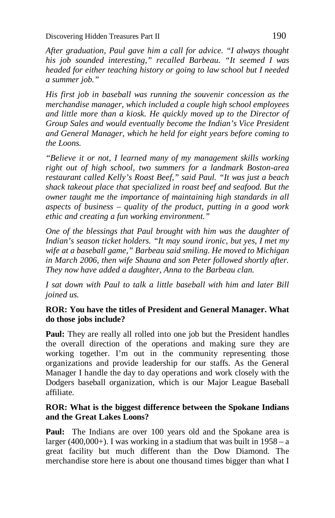*After graduation, Paul gave him a call for advice. "I always thought his job sounded interesting," recalled Barbeau. "It seemed I was headed for either teaching history or going to law school but I needed a summer job."*

*His first job in baseball was running the souvenir concession as the merchandise manager, which included a couple high school employees and little more than a kiosk. He quickly moved up to the Director of Group Sales and would eventually become the Indian's Vice President and General Manager, which he held for eight years before coming to the Loons.*

*"Believe it or not, I learned many of my management skills working right out of high school, two summers for a landmark Boston-area restaurant called Kelly's Roast Beef," said Paul. "It was just a beach shack takeout place that specialized in roast beef and seafood. But the owner taught me the importance of maintaining high standards in all aspects of business – quality of the product, putting in a good work ethic and creating a fun working environment."*

*One of the blessings that Paul brought with him was the daughter of Indian's season ticket holders. "It may sound ironic, but yes, I met my wife at a baseball game," Barbeau said smiling. He moved to Michigan in March 2006, then wife Shauna and son Peter followed shortly after. They now have added a daughter, Anna to the Barbeau clan.*

*I sat down with Paul to talk a little baseball with him and later Bill joined us.*

# **ROR: You have the titles of President and General Manager. What do those jobs include?**

Paul: They are really all rolled into one job but the President handles the overall direction of the operations and making sure they are working together. I'm out in the community representing those organizations and provide leadership for our staffs. As the General Manager I handle the day to day operations and work closely with the Dodgers baseball organization, which is our Major League Baseball affiliate.

#### **ROR: What is the biggest difference between the Spokane Indians and the Great Lakes Loons?**

**Paul:** The Indians are over 100 years old and the Spokane area is larger (400,000+). I was working in a stadium that was built in  $1958 - a$ great facility but much different than the Dow Diamond. The merchandise store here is about one thousand times bigger than what I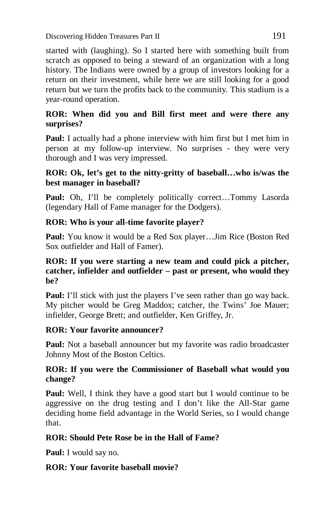started with (laughing). So I started here with something built from scratch as opposed to being a steward of an organization with a long history. The Indians were owned by a group of investors looking for a return on their investment, while here we are still looking for a good return but we turn the profits back to the community. This stadium is a year-round operation.

## **ROR: When did you and Bill first meet and were there any surprises?**

**Paul:** I actually had a phone interview with him first but I met him in person at my follow-up interview. No surprises - they were very thorough and I was very impressed.

## **ROR: Ok, let's get to the nitty-gritty of baseball…who is/was the best manager in baseball?**

**Paul:** Oh, I'll be completely politically correct...Tommy Lasorda (legendary Hall of Fame manager for the Dodgers).

# **ROR: Who is your all-time favorite player?**

**Paul:** You know it would be a Red Sox player…Jim Rice (Boston Red Sox outfielder and Hall of Famer).

#### **ROR: If you were starting a new team and could pick a pitcher, catcher, infielder and outfielder – past or present, who would they be?**

**Paul:** I'll stick with just the players I've seen rather than go way back. My pitcher would be Greg Maddox; catcher, the Twins' Joe Mauer; infielder, George Brett; and outfielder, Ken Griffey, Jr.

# **ROR: Your favorite announcer?**

Paul: Not a baseball announcer but my favorite was radio broadcaster Johnny Most of the Boston Celtics.

## **ROR: If you were the Commissioner of Baseball what would you change?**

**Paul:** Well, I think they have a good start but I would continue to be aggressive on the drug testing and I don't like the All-Star game deciding home field advantage in the World Series, so I would change that.

# **ROR: Should Pete Rose be in the Hall of Fame?**

**Paul:** I would say no.

# **ROR: Your favorite baseball movie?**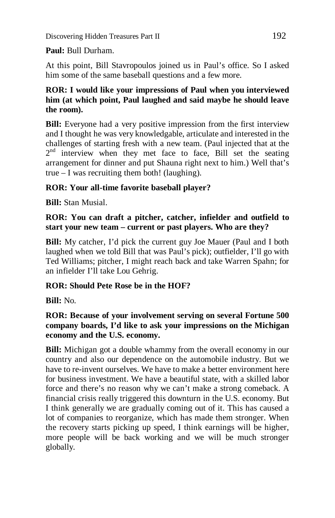**Paul:** Bull Durham.

At this point, Bill Stavropoulos joined us in Paul's office. So I asked him some of the same baseball questions and a few more.

### **ROR: I would like your impressions of Paul when you interviewed him (at which point, Paul laughed and said maybe he should leave the room).**

**Bill:** Everyone had a very positive impression from the first interview and I thought he was very knowledgable, articulate and interested in the challenges of starting fresh with a new team. (Paul injected that at the  $2<sup>nd</sup>$  interview when they met face to face, Bill set the seating arrangement for dinner and put Shauna right next to him.) Well that's true – I was recruiting them both! (laughing).

# **ROR: Your all-time favorite baseball player?**

**Bill:** Stan Musial.

#### **ROR: You can draft a pitcher, catcher, infielder and outfield to start your new team – current or past players. Who are they?**

**Bill:** My catcher, I'd pick the current guy Joe Mauer (Paul and I both laughed when we told Bill that was Paul's pick); outfielder, I'll go with Ted Williams; pitcher, I might reach back and take Warren Spahn; for an infielder I'll take Lou Gehrig.

#### **ROR: Should Pete Rose be in the HOF?**

**Bill:** No.

## **ROR: Because of your involvement serving on several Fortune 500 company boards, I'd like to ask your impressions on the Michigan economy and the U.S. economy.**

**Bill:** Michigan got a double whammy from the overall economy in our country and also our dependence on the automobile industry. But we have to re-invent ourselves. We have to make a better environment here for business investment. We have a beautiful state, with a skilled labor force and there's no reason why we can't make a strong comeback. A financial crisis really triggered this downturn in the U.S. economy. But I think generally we are gradually coming out of it. This has caused a lot of companies to reorganize, which has made them stronger. When the recovery starts picking up speed, I think earnings will be higher, more people will be back working and we will be much stronger globally.